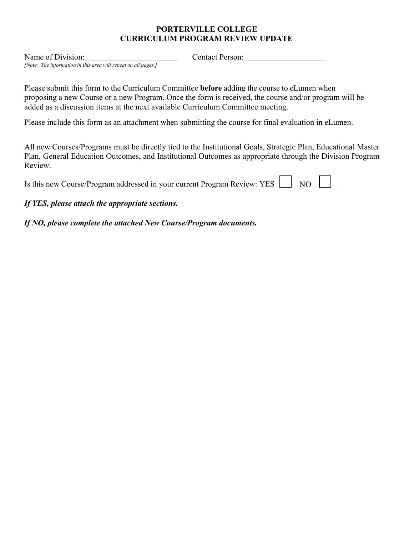# **PORTERVILLE COLLEGE CURRICULUM PROGRAM REVIEW UPDATE**

Name of Division:

*[Note: The information in this area will repeat on all pages.]*

Contact Person:

Please submit this form to the Curriculum Committee **before** adding the course to eLumen when proposing a new Course or a new Program. Once the form is received, the course and/or program will be added as a discussion items at the next available Curriculum Committee meeting.

Please include this form as an attachment when submitting the course for final evaluation in eLumen.

All new Courses/Programs must be directly tied to the Institutional Goals, Strategic Plan, Educational Master Plan, General Education Outcomes, and Institutional Outcomes as appropriate through the Division Program Review.

| Is this new Course/Program addressed in your current Program Review: YES [100 NO] |  |  |  |
|-----------------------------------------------------------------------------------|--|--|--|
|-----------------------------------------------------------------------------------|--|--|--|

# *If YES, please attach the appropriate sections.*

*If NO, please complete the attached New Course/Program documents.*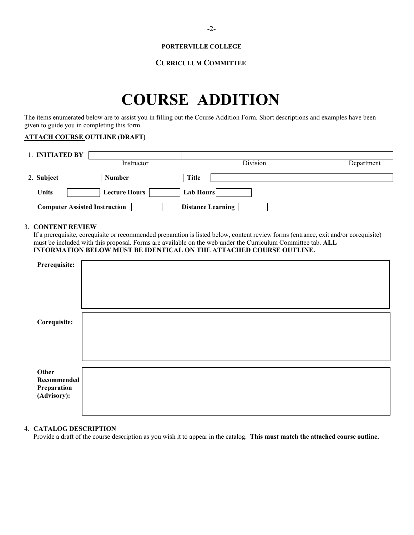## **PORTERVILLE COLLEGE**

# **CURRICULUM COMMITTEE**

# **COURSE ADDITION**

The items enumerated below are to assist you in filling out the Course Addition Form. Short descriptions and examples have been given to guide you in completing this form

# **ATTACH COURSE OUTLINE (DRAFT)**

| 1. INITIATED BY                      |                      |                   |            |
|--------------------------------------|----------------------|-------------------|------------|
|                                      | Instructor           | Division          | Department |
| 2. Subject                           | <b>Number</b>        | <b>Title</b>      |            |
| Units                                | <b>Lecture Hours</b> | Lab Hours         |            |
| <b>Computer Assisted Instruction</b> |                      | Distance Learning |            |

# 3. **CONTENT REVIEW**

If a prerequisite, corequisite or recommended preparation is listed below, content review forms (entrance, exit and/or corequisite) must be included with this proposal. Forms are available on the web under the Curriculum Committee tab. **ALL INFORMATION BELOW MUST BE IDENTICAL ON THE ATTACHED COURSE OUTLINE.**

| Prerequisite:                     |  |
|-----------------------------------|--|
|                                   |  |
|                                   |  |
|                                   |  |
|                                   |  |
|                                   |  |
|                                   |  |
| Corequisite:                      |  |
|                                   |  |
|                                   |  |
|                                   |  |
|                                   |  |
|                                   |  |
| Other                             |  |
| Recommended                       |  |
| <b>Preparation</b><br>(Advisory): |  |
|                                   |  |
|                                   |  |
|                                   |  |

# 4. **CATALOG DESCRIPTION**

Provide a draft of the course description as you wish it to appear in the catalog. **This must match the attached course outline.**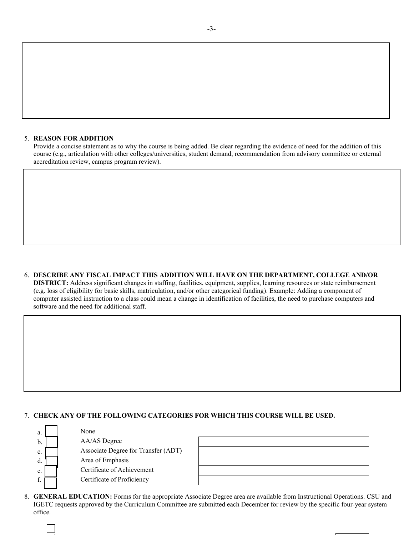### 5. **REASON FOR ADDITION**

Provide a concise statement as to why the course is being added. Be clear regarding the evidence of need for the addition of this course (e.g., articulation with other colleges/universities, student demand, recommendation from advisory committee or external accreditation review, campus program review).

6. **DESCRIBE ANY FISCAL IMPACT THIS ADDITION WILL HAVE ON THE DEPARTMENT, COLLEGE AND/OR DISTRICT:** Address significant changes in staffing, facilities, equipment, supplies, learning resources or state reimbursement (e.g. loss of eligibility for basic skills, matriculation, and/or other categorical funding). Example: Adding a component of computer assisted instruction to a class could mean a change in identification of facilities, the need to purchase computers and software and the need for additional staff.

# 7. **CHECK ANY OF THE FOLLOWING CATEGORIES FOR WHICH THIS COURSE WILL BE USED.**

| a. | None                                |  |
|----|-------------------------------------|--|
| b. | AA/AS Degree                        |  |
| c. | Associate Degree for Transfer (ADT) |  |
| d. | Area of Emphasis                    |  |
| e. | Certificate of Achievement          |  |
| £  | Certificate of Proficiency          |  |
|    |                                     |  |

8. **GENERAL EDUCATION:** Forms for the appropriate Associate Degree area are available from Instructional Operations. CSU and IGETC requests approved by the Curriculum Committee are submitted each December for review by the specific four-year system office.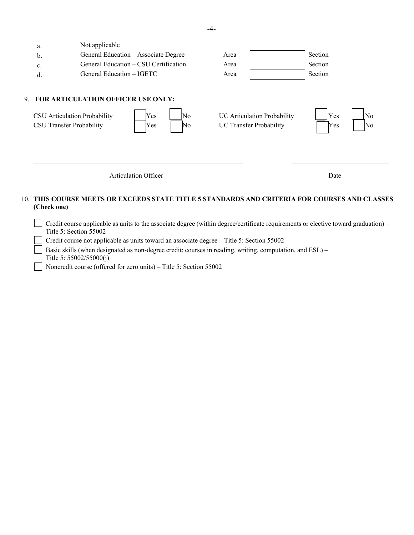| a.<br>b.<br>c.<br>d. | Not applicable<br>General Education - Associate Degree<br>General Education – CSU Certification<br>General Education – IGETC | Area<br>Area<br>Area                                          | Section<br>Section<br>Section |
|----------------------|------------------------------------------------------------------------------------------------------------------------------|---------------------------------------------------------------|-------------------------------|
|                      | 9. FOR ARTICULATION OFFICER USE ONLY:<br>Yes<br>CSU Articulation Probability<br>No<br>CSU Transfer Probability<br>Yes<br>No  | UC Articulation Probability<br><b>UC Transfer Probability</b> | Yes<br>No<br>Yes<br>No        |
|                      | Articulation Officer                                                                                                         |                                                               | Date                          |

# 10. **THIS COURSE MEETS OR EXCEEDS STATE TITLE 5 STANDARDS AND CRITERIA FOR COURSES AND CLASSES (Check one)**

 $\Box$  Credit course applicable as units to the associate degree (within degree/certificate requirements or elective toward graduation) – Title 5: Section 55002

Credit course not applicable as units toward an associate degree – Title 5: Section 55002

Basic skills (when designated as non-degree credit; courses in reading, writing, computation, and ESL) – Title 5: 55002/55000(j)

Noncredit course (offered for zero units) – Title 5: Section 55002

-4-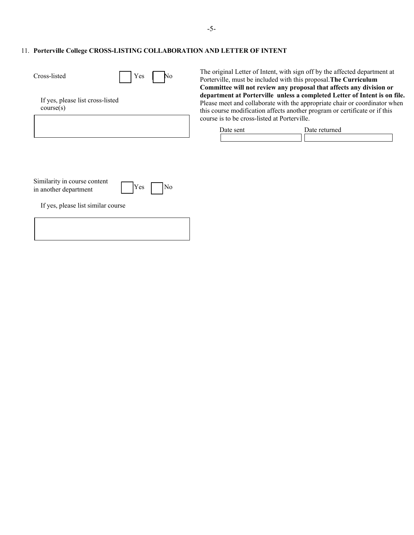# 11. **Porterville College CROSS-LISTING COLLABORATION AND LETTER OF INTENT**

| Cross-listed<br>Yes                                          | The original Letter<br>No<br>Porterville, must be<br><b>Committee will no</b>             |
|--------------------------------------------------------------|-------------------------------------------------------------------------------------------|
| If yes, please list cross-listed<br>course(s)                | department at Por<br>Please meet and col<br>this course modifica<br>course is to be cross |
|                                                              | Date sent                                                                                 |
| Similarity in course content<br>Yes<br>in another department | No                                                                                        |
| If yes, please list similar course                           |                                                                                           |

of Intent, with sign off by the affected department at included with this proposal. The Curriculum **Committee will not review any proposal that affects any division or**  terville unless a completed Letter of Intent is on file. Please meet and collaborate with the appropriate chair or coordinator when this course modification affects another program or certificate or if this s-listed at Porterville.

| Date sent | Date returned |
|-----------|---------------|
|           |               |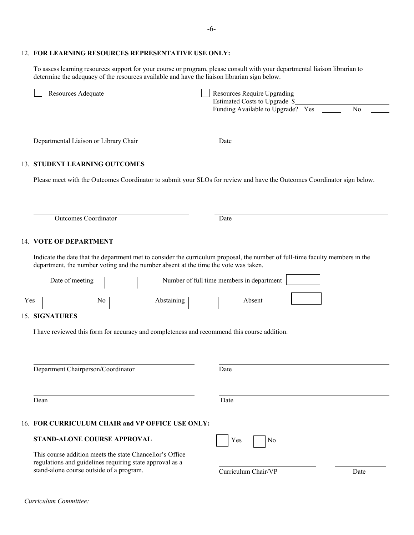## 12. **FOR LEARNING RESOURCES REPRESENTATIVE USE ONLY:**

To assess learning resources support for your course or program, please consult with your departmental liaison librarian to determine the adequacy of the resources available and have the liaison librarian sign below.

|                  | Resources Require Upgrading<br>Estimated Costs to Upgrade \$<br>Funding Available to Upgrade? Yes<br>N <sub>o</sub>                                                                                                                                                                                                                                                                                                                                                                                                                                                                                                                                 |
|------------------|-----------------------------------------------------------------------------------------------------------------------------------------------------------------------------------------------------------------------------------------------------------------------------------------------------------------------------------------------------------------------------------------------------------------------------------------------------------------------------------------------------------------------------------------------------------------------------------------------------------------------------------------------------|
|                  | Date                                                                                                                                                                                                                                                                                                                                                                                                                                                                                                                                                                                                                                                |
|                  |                                                                                                                                                                                                                                                                                                                                                                                                                                                                                                                                                                                                                                                     |
|                  | Please meet with the Outcomes Coordinator to submit your SLOs for review and have the Outcomes Coordinator sign below.                                                                                                                                                                                                                                                                                                                                                                                                                                                                                                                              |
|                  |                                                                                                                                                                                                                                                                                                                                                                                                                                                                                                                                                                                                                                                     |
|                  | Date                                                                                                                                                                                                                                                                                                                                                                                                                                                                                                                                                                                                                                                |
|                  |                                                                                                                                                                                                                                                                                                                                                                                                                                                                                                                                                                                                                                                     |
|                  | Indicate the date that the department met to consider the curriculum proposal, the number of full-time faculty members in the                                                                                                                                                                                                                                                                                                                                                                                                                                                                                                                       |
| Date of meeting  | Number of full time members in department                                                                                                                                                                                                                                                                                                                                                                                                                                                                                                                                                                                                           |
| Abstaining<br>No | Absent                                                                                                                                                                                                                                                                                                                                                                                                                                                                                                                                                                                                                                              |
|                  |                                                                                                                                                                                                                                                                                                                                                                                                                                                                                                                                                                                                                                                     |
|                  |                                                                                                                                                                                                                                                                                                                                                                                                                                                                                                                                                                                                                                                     |
|                  |                                                                                                                                                                                                                                                                                                                                                                                                                                                                                                                                                                                                                                                     |
|                  | Date                                                                                                                                                                                                                                                                                                                                                                                                                                                                                                                                                                                                                                                |
|                  | Date                                                                                                                                                                                                                                                                                                                                                                                                                                                                                                                                                                                                                                                |
|                  |                                                                                                                                                                                                                                                                                                                                                                                                                                                                                                                                                                                                                                                     |
|                  | Yes<br>No                                                                                                                                                                                                                                                                                                                                                                                                                                                                                                                                                                                                                                           |
|                  | Curriculum Chair/VP<br>Date                                                                                                                                                                                                                                                                                                                                                                                                                                                                                                                                                                                                                         |
|                  | Departmental Liaison or Library Chair<br>13. STUDENT LEARNING OUTCOMES<br><b>Outcomes Coordinator</b><br>14. VOTE OF DEPARTMENT<br>department, the number voting and the number absent at the time the vote was taken.<br>15. SIGNATURES<br>I have reviewed this form for accuracy and completeness and recommend this course addition.<br>Department Chairperson/Coordinator<br>Dean<br>16. FOR CURRICULUM CHAIR and VP OFFICE USE ONLY:<br><b>STAND-ALONE COURSE APPROVAL</b><br>This course addition meets the state Chancellor's Office<br>regulations and guidelines requiring state approval as a<br>stand-alone course outside of a program. |

*Curriculum Committee:*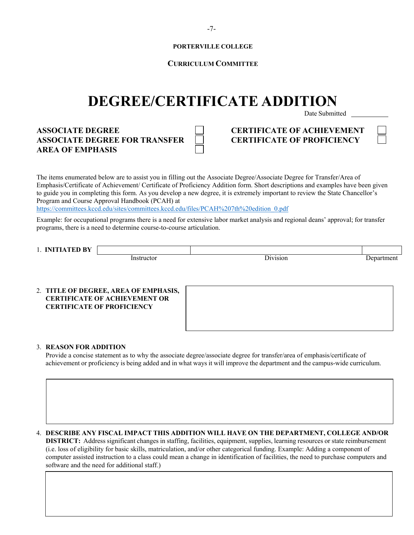## **PORTERVILLE COLLEGE**

# **CURRICULUM COMMITTEE**

# **DEGREE/CERTIFICATE ADDITION**

Date Submitted

**ASSOCIATE DEGREE CERTIFICATE OF ACHIEVEMENT ASSOCIATE DEGREE FOR TRANSFER CERTIFICATE OF PROFICIENCY AREA OF EMPHASIS**

|  | × |
|--|---|
|  |   |

The items enumerated below are to assist you in filling out the Associate Degree/Associate Degree for Transfer/Area of Emphasis/Certificate of Achievement/ Certificate of Proficiency Addition form. Short descriptions and examples have been given to guide you in completing this form. As you develop a new degree, it is extremely important to review the State Chancellor's Program and Course Approval Handbook (PCAH) at

[https://committees.kccd.edu/sites/committees.kccd.edu/files/PCAH%207th%20edition\\_0.pdf](https://committees.kccd.edu/sites/committees.kccd.edu/files/PCAH%207th%20edition_0.pdf) 

Example: for occupational programs there is a need for extensive labor market analysis and regional deans' approval; for transfer programs, there is a need to determine course-to-course articulation.

1. **INITIATED BY**

Instructor Division Department

# 2. **TITLE OF DEGREE, AREA OF EMPHASIS, CERTIFICATE OF ACHIEVEMENT OR CERTIFICATE OF PROFICIENCY**

### 3. **REASON FOR ADDITION**

Provide a concise statement as to why the associate degree/associate degree for transfer/area of emphasis/certificate of achievement or proficiency is being added and in what ways it will improve the department and the campus-wide curriculum.

4. **DESCRIBE ANY FISCAL IMPACT THIS ADDITION WILL HAVE ON THE DEPARTMENT, COLLEGE AND/OR**

**DISTRICT:** Address significant changes in staffing, facilities, equipment, supplies, learning resources or state reimbursement (i.e. loss of eligibility for basic skills, matriculation, and/or other categorical funding. Example: Adding a component of computer assisted instruction to a class could mean a change in identification of facilities, the need to purchase computers and software and the need for additional staff.)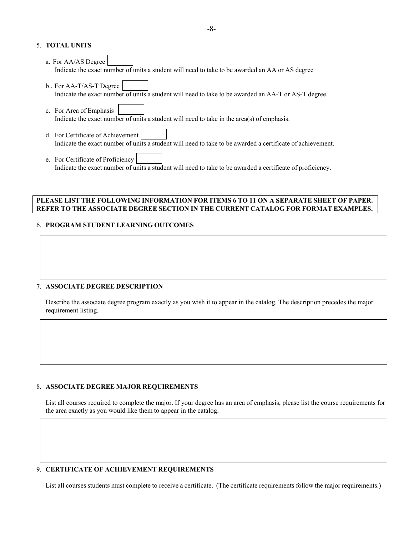# 5. **TOTAL UNITS**

- a. For AA/AS Degree Indicate the exact number of units a student will need to take to be awarded an AA or AS degree
- b.. For AA-T/AS-T Degree Indicate the exact number of units a student will need to take to be awarded an AA-T or AS-T degree.
- c. For Area of Emphasis Indicate the exact number of units a student will need to take in the area(s) of emphasis.
- d. For Certificate of Achievement Indicate the exact number of units a student will need to take to be awarded a certificate of achievement.
- e. For Certificate of Proficiency Indicate the exact number of units a student will need to take to be awarded a certificate of proficiency.

## **PLEASE LIST THE FOLLOWING INFORMATION FOR ITEMS 6 TO 11 ON A SEPARATE SHEET OF PAPER. REFER TO THE ASSOCIATE DEGREE SECTION IN THE CURRENT CATALOG FOR FORMAT EXAMPLES.**

# 6. **PROGRAM STUDENT LEARNING OUTCOMES**

### 7. **ASSOCIATE DEGREE DESCRIPTION**

Describe the associate degree program exactly as you wish it to appear in the catalog. The description precedes the major requirement listing.

# 8. **ASSOCIATE DEGREE MAJOR REQUIREMENTS**

List all courses required to complete the major. If your degree has an area of emphasis, please list the course requirements for the area exactly as you would like them to appear in the catalog.

### 9. **CERTIFICATE OF ACHIEVEMENT REQUIREMENTS**

List all courses students must complete to receive a certificate. (The certificate requirements follow the major requirements.)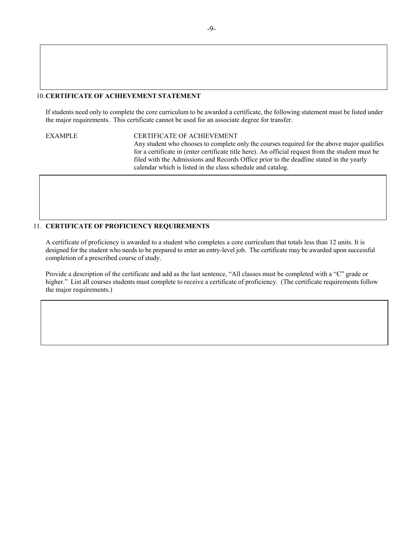### 10.**CERTIFICATE OF ACHIEVEMENT STATEMENT**

If students need only to complete the core curriculum to be awarded a certificate, the following statement must be listed under the major requirements. This certificate cannot be used for an associate degree for transfer.

EXAMPLE CERTIFICATE OF ACHIEVEMENT Any student who chooses to complete only the courses required for the above major qualifies for a certificate in (enter certificate title here). An official request from the student must be filed with the Admissions and Records Office prior to the deadline stated in the yearly calendar which is listed in the class schedule and catalog.

# 11. **CERTIFICATE OF PROFICIENCY REQUIREMENTS**

A certificate of proficiency is awarded to a student who completes a core curriculum that totals less than 12 units. It is designed for the student who needs to be prepared to enter an entry-level job. The certificate may be awarded upon successful completion of a prescribed course of study.

Provide a description of the certificate and add as the last sentence, "All classes must be completed with a "C" grade or higher." List all courses students must complete to receive a certificate of proficiency. (The certificate requirements follow the major requirements.)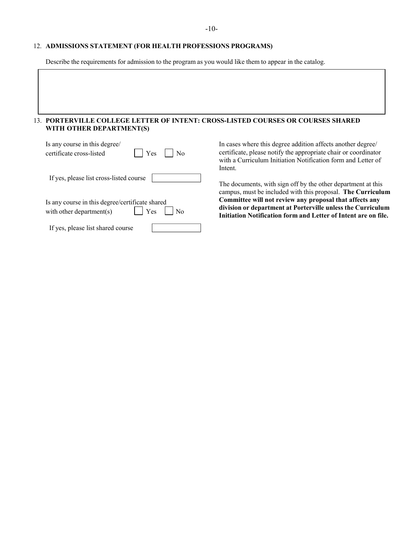## 12. **ADMISSIONS STATEMENT (FOR HEALTH PROFESSIONS PROGRAMS)**

Describe the requirements for admission to the program as you would like them to appear in the catalog.

# 13. **PORTERVILLE COLLEGE LETTER OF INTENT: CROSS-LISTED COURSES OR COURSES SHARED WITH OTHER DEPARTMENT(S)**

| Is any course in this degree/<br>$\vert$   Yes<br>$\rm No$<br>certificate cross-listed     |
|--------------------------------------------------------------------------------------------|
| If yes, please list cross-listed course                                                    |
| Is any course in this degree/certificate shared<br>$\vert$ Yes<br>with other department(s) |
| If yes, please list shared course                                                          |

In cases where this degree addition affects another degree/ certificate, please notify the appropriate chair or coordinator with a Curriculum Initiation Notification form and Letter of Intent.

The documents, with sign off by the other department at this campus, must be included with this proposal. **The Curriculum Committee will not review any proposal that affects any division or department at Porterville unless the Curriculum Initiation Notification form and Letter of Intent are on file.**